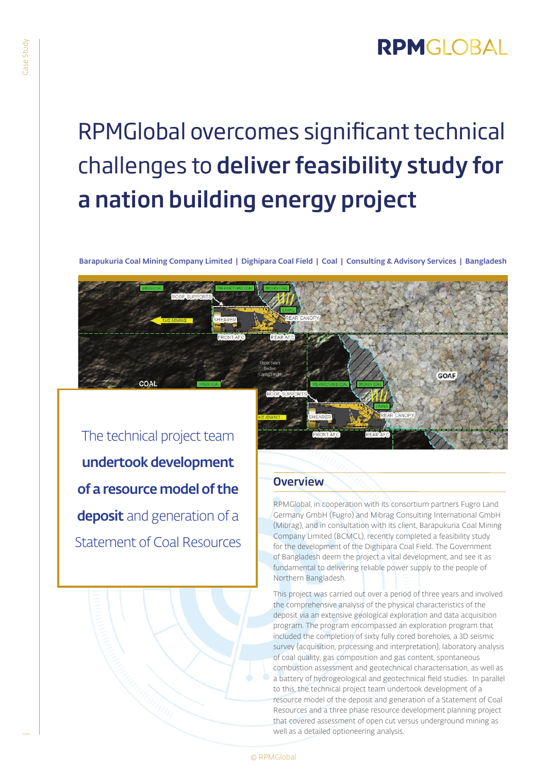## **RPMGLOBAL**

GOAF

# RPMGlobal overcomes significant technical challenges to deliver feasibility study for a nation building energy project

Barapukuria Coal Mining Company Limited | Dighipara Coal Field | Coal | Consulting & Advisory Services | Bangladesh

The technical project team undertook development of a resource model of the deposit and generation of a Statement of Coal Resources

### **Overview**

RPMGlobal, in cooperation with its consortium partners Fugro Land Germany GmbH (Fugro) and Mibrag Consulting International GmbH (Mibrag), and in consultation with its client, Barapukuria Coal Mining Company Limited (BCMCL), recently completed a feasibility study for the development of the Dighipara Coal Field. The Government of Bangladesh deem the project a vital development, and see it as fundamental to delivering reliable power supply to the people of Northern Bangladesh.

This project was carried out over a period of three years and involved the comprehensive analysis of the physical characteristics of the deposit via an extensive geological exploration and data acquisition program. The program encompassed an exploration program that included the completion of sixty fully cored boreholes, a 3D seismic survey (acquisition, processing and interpretation), laboratory analysis of coal quality, gas composition and gas content, spontaneous combustion assessment and geotechnical characterisation, as well as a battery of hydrogeological and geotechnical field studies. In parallel to this, the technical project team undertook development of a resource model of the deposit and generation of a Statement of Coal Resources and a three phase resource development planning project that covered assessment of open cut versus underground mining as well as a detailed optioneering analysis.